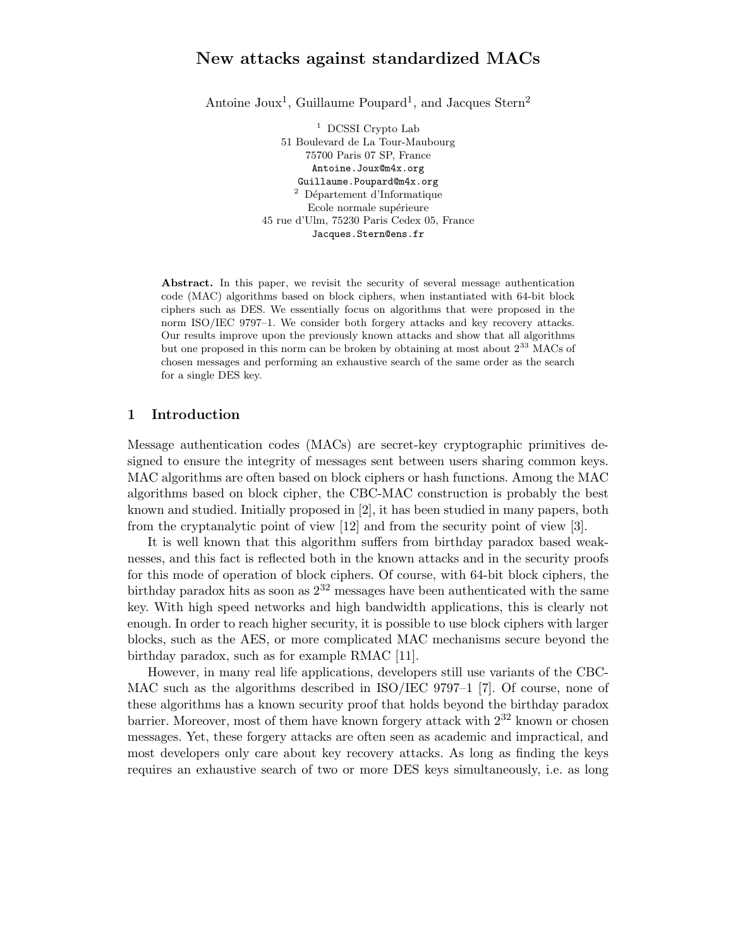# New attacks against standardized MACs

Antoine Joux<sup>1</sup>, Guillaume Poupard<sup>1</sup>, and Jacques Stern<sup>2</sup>

 $^1$  DCSSI Crypto Lab 51 Boulevard de La Tour-Maubourg 75700 Paris 07 SP, France Antoine.Joux@m4x.org Guillaume.Poupard@m4x.org Département d'Informatique Ecole normale supérieure 45 rue d'Ulm, 75230 Paris Cedex 05, France Jacques.Stern@ens.fr

Abstract. In this paper, we revisit the security of several message authentication code (MAC) algorithms based on block ciphers, when instantiated with 64-bit block ciphers such as DES. We essentially focus on algorithms that were proposed in the norm ISO/IEC 9797–1. We consider both forgery attacks and key recovery attacks. Our results improve upon the previously known attacks and show that all algorithms but one proposed in this norm can be broken by obtaining at most about  $2^{33}$  MACs of chosen messages and performing an exhaustive search of the same order as the search for a single DES key.

## 1 Introduction

Message authentication codes (MACs) are secret-key cryptographic primitives designed to ensure the integrity of messages sent between users sharing common keys. MAC algorithms are often based on block ciphers or hash functions. Among the MAC algorithms based on block cipher, the CBC-MAC construction is probably the best known and studied. Initially proposed in [2], it has been studied in many papers, both from the cryptanalytic point of view [12] and from the security point of view [3].

It is well known that this algorithm suffers from birthday paradox based weaknesses, and this fact is reflected both in the known attacks and in the security proofs for this mode of operation of block ciphers. Of course, with 64-bit block ciphers, the birthday paradox hits as soon as 2 <sup>32</sup> messages have been authenticated with the same key. With high speed networks and high bandwidth applications, this is clearly not enough. In order to reach higher security, it is possible to use block ciphers with larger blocks, such as the AES, or more complicated MAC mechanisms secure beyond the birthday paradox, such as for example RMAC [11].

However, in many real life applications, developers still use variants of the CBC-MAC such as the algorithms described in ISO/IEC 9797–1 [7]. Of course, none of these algorithms has a known security proof that holds beyond the birthday paradox barrier. Moreover, most of them have known forgery attack with  $2^{32}$  known or chosen messages. Yet, these forgery attacks are often seen as academic and impractical, and most developers only care about key recovery attacks. As long as finding the keys requires an exhaustive search of two or more DES keys simultaneously, i.e. as long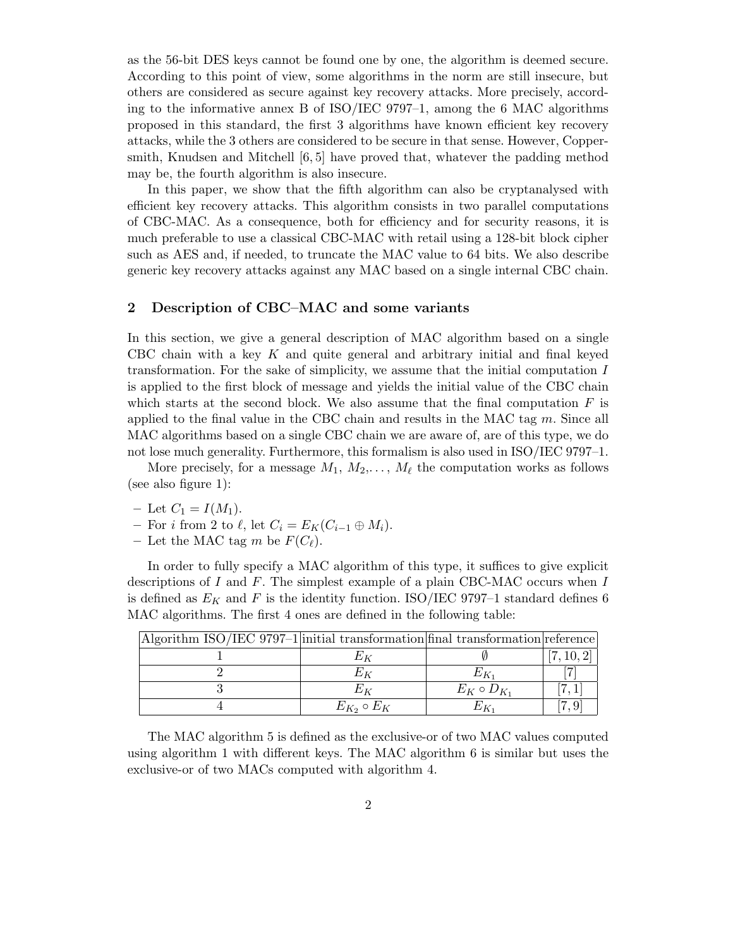as the 56-bit DES keys cannot be found one by one, the algorithm is deemed secure. According to this point of view, some algorithms in the norm are still insecure, but others are considered as secure against key recovery attacks. More precisely, according to the informative annex B of ISO/IEC 9797–1, among the 6 MAC algorithms proposed in this standard, the first 3 algorithms have known efficient key recovery attacks, while the 3 others are considered to be secure in that sense. However, Coppersmith, Knudsen and Mitchell [6, 5] have proved that, whatever the padding method may be, the fourth algorithm is also insecure.

In this paper, we show that the fifth algorithm can also be cryptanalysed with efficient key recovery attacks. This algorithm consists in two parallel computations of CBC-MAC. As a consequence, both for efficiency and for security reasons, it is much preferable to use a classical CBC-MAC with retail using a 128-bit block cipher such as AES and, if needed, to truncate the MAC value to 64 bits. We also describe generic key recovery attacks against any MAC based on a single internal CBC chain.

### 2 Description of CBC–MAC and some variants

In this section, we give a general description of MAC algorithm based on a single CBC chain with a key  $K$  and quite general and arbitrary initial and final keyed transformation. For the sake of simplicity, we assume that the initial computation I is applied to the first block of message and yields the initial value of the CBC chain which starts at the second block. We also assume that the final computation  $F$  is applied to the final value in the CBC chain and results in the MAC tag  $m$ . Since all MAC algorithms based on a single CBC chain we are aware of, are of this type, we do not lose much generality. Furthermore, this formalism is also used in ISO/IEC 9797–1.

More precisely, for a message  $M_1, M_2, \ldots, M_\ell$  the computation works as follows (see also figure 1):

- Let  $C_1 = I(M_1)$ .
- For i from 2 to  $\ell$ , let  $C_i = E_K(C_{i-1} \oplus M_i)$ .
- Let the MAC tag m be  $F(C_{\ell})$ .

In order to fully specify a MAC algorithm of this type, it suffices to give explicit descriptions of I and F. The simplest example of a plain CBC-MAC occurs when I is defined as  $E_K$  and F is the identity function. ISO/IEC 9797-1 standard defines 6 MAC algorithms. The first 4 ones are defined in the following table:

| Algorithm ISO/IEC 9797-1 initial transformation final transformation reference |                     |                     |  |
|--------------------------------------------------------------------------------|---------------------|---------------------|--|
|                                                                                |                     |                     |  |
|                                                                                |                     |                     |  |
|                                                                                |                     | $E_K \circ D_{K_1}$ |  |
|                                                                                | $E_{K_2} \circ E_K$ |                     |  |

The MAC algorithm 5 is defined as the exclusive-or of two MAC values computed using algorithm 1 with different keys. The MAC algorithm 6 is similar but uses the exclusive-or of two MACs computed with algorithm 4.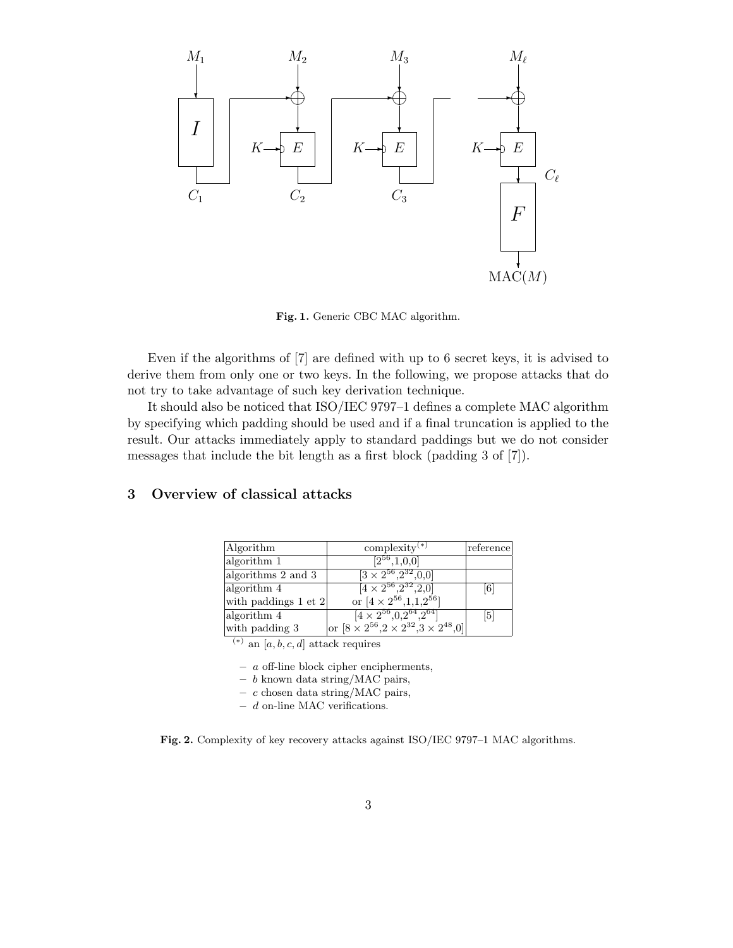

Fig. 1. Generic CBC MAC algorithm.

Even if the algorithms of [7] are defined with up to 6 secret keys, it is advised to derive them from only one or two keys. In the following, we propose attacks that do not try to take advantage of such key derivation technique.

It should also be noticed that ISO/IEC 9797–1 defines a complete MAC algorithm by specifying which padding should be used and if a final truncation is applied to the result. Our attacks immediately apply to standard paddings but we do not consider messages that include the bit length as a first block (padding 3 of [7]).

## 3 Overview of classical attacks

| Algorithm                | complexity $(*)$                                            | reference |
|--------------------------|-------------------------------------------------------------|-----------|
| algorithm 1              | $[2^{56}, 1, 0, 0]$                                         |           |
| algorithms 2 and 3       | $[3 \times 2^{56}, 2^{32}, 0, 0]$                           |           |
| algorithm 4              | $[4 \times 2^{56}, 2^{32}, 2, 0]$                           | 6         |
| with paddings $1$ et $2$ | or $[4 \times 2^{56}, 1, 1, 2^{56}]$                        |           |
| algorithm 4              | $[4 \times 2^{56}, 0, 2^{64}, 2^{64}]$                      | 5         |
| with padding 3           | or $[8 \times 2^{56}, 2 \times 2^{32}, 3 \times 2^{48}, 0]$ |           |

 $(x^{(*)}$  an  $[a, b, c, d]$  attack requires

 $-$  a off-line block cipher encipherments,

 $- b$  known data string/MAC pairs,

 $- c$  chosen data string/MAC pairs,

 $\,d$  on-line MAC verifications.

Fig. 2. Complexity of key recovery attacks against ISO/IEC 9797–1 MAC algorithms.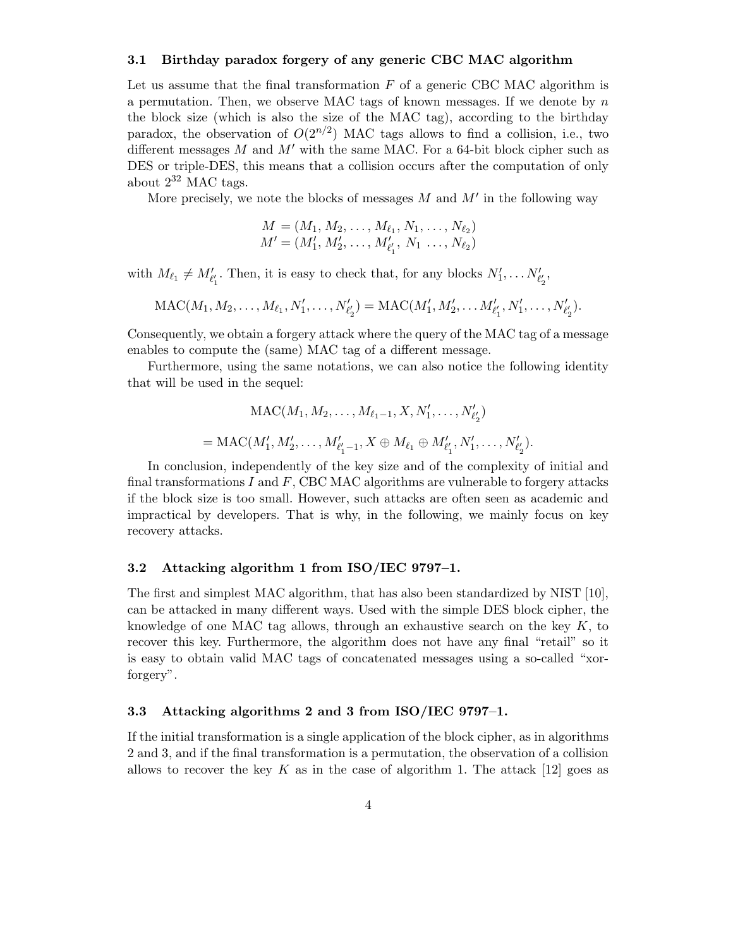#### 3.1 Birthday paradox forgery of any generic CBC MAC algorithm

Let us assume that the final transformation  $F$  of a generic CBC MAC algorithm is a permutation. Then, we observe MAC tags of known messages. If we denote by  $n$ the block size (which is also the size of the MAC tag), according to the birthday paradox, the observation of  $O(2^{n/2})$  MAC tags allows to find a collision, i.e., two different messages  $M$  and  $M'$  with the same MAC. For a 64-bit block cipher such as DES or triple-DES, this means that a collision occurs after the computation of only about  $2^{32}$  MAC tags.

More precisely, we note the blocks of messages  $M$  and  $M'$  in the following way

$$
M = (M_1, M_2, \dots, M_{\ell_1}, N_1, \dots, N_{\ell_2})
$$
  

$$
M' = (M'_1, M'_2, \dots, M'_{\ell'_1}, N_1, \dots, N_{\ell_2})
$$

with  $M_{\ell_1} \neq M'_{\ell'_1}$ . Then, it is easy to check that, for any blocks  $N'_1, \ldots N'_{\ell'_2}$ ,

$$
\text{MAC}(M_1, M_2, \ldots, M_{\ell_1}, N'_1, \ldots, N'_{\ell'_2}) = \text{MAC}(M'_1, M'_2, \ldots, M'_{\ell'_1}, N'_1, \ldots, N'_{\ell'_2}).
$$

Consequently, we obtain a forgery attack where the query of the MAC tag of a message enables to compute the (same) MAC tag of a different message.

Furthermore, using the same notations, we can also notice the following identity that will be used in the sequel:

$$
MAC(M_1, M_2, \dots, M_{\ell_1-1}, X, N'_1, \dots, N'_{\ell'_2})
$$
  
= MAC(M'\_1, M'\_2, \dots, M'\_{\ell'\_1-1}, X \oplus M\_{\ell\_1} \oplus M'\_{\ell'\_1}, N'\_1, \dots, N'\_{\ell'\_2}).

In conclusion, independently of the key size and of the complexity of initial and final transformations  $I$  and  $F$ , CBC MAC algorithms are vulnerable to forgery attacks if the block size is too small. However, such attacks are often seen as academic and impractical by developers. That is why, in the following, we mainly focus on key recovery attacks.

#### 3.2 Attacking algorithm 1 from ISO/IEC 9797–1.

The first and simplest MAC algorithm, that has also been standardized by NIST [10], can be attacked in many different ways. Used with the simple DES block cipher, the knowledge of one MAC tag allows, through an exhaustive search on the key  $K$ , to recover this key. Furthermore, the algorithm does not have any final "retail" so it is easy to obtain valid MAC tags of concatenated messages using a so-called "xorforgery".

### 3.3 Attacking algorithms 2 and 3 from ISO/IEC 9797–1.

If the initial transformation is a single application of the block cipher, as in algorithms 2 and 3, and if the final transformation is a permutation, the observation of a collision allows to recover the key K as in the case of algorithm 1. The attack  $[12]$  goes as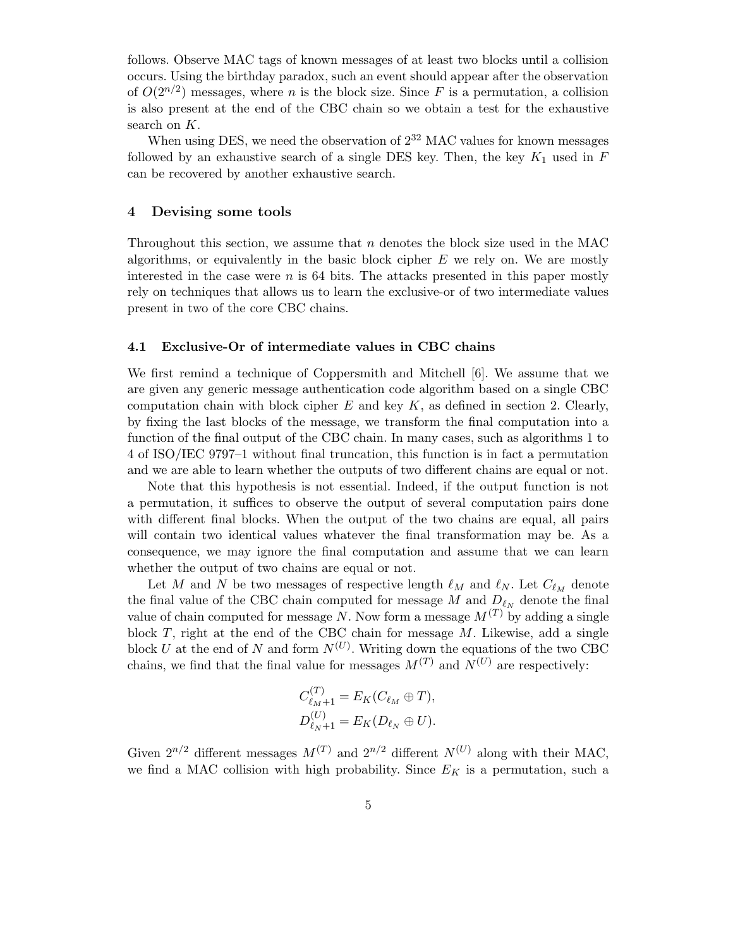follows. Observe MAC tags of known messages of at least two blocks until a collision occurs. Using the birthday paradox, such an event should appear after the observation of  $O(2^{n/2})$  messages, where n is the block size. Since F is a permutation, a collision is also present at the end of the CBC chain so we obtain a test for the exhaustive search on K.

When using DES, we need the observation of  $2^{32}$  MAC values for known messages followed by an exhaustive search of a single DES key. Then, the key  $K_1$  used in  $F$ can be recovered by another exhaustive search.

### 4 Devising some tools

Throughout this section, we assume that  $n$  denotes the block size used in the MAC algorithms, or equivalently in the basic block cipher  $E$  we rely on. We are mostly interested in the case were  $n$  is 64 bits. The attacks presented in this paper mostly rely on techniques that allows us to learn the exclusive-or of two intermediate values present in two of the core CBC chains.

#### 4.1 Exclusive-Or of intermediate values in CBC chains

We first remind a technique of Coppersmith and Mitchell [6]. We assume that we are given any generic message authentication code algorithm based on a single CBC computation chain with block cipher  $E$  and key  $K$ , as defined in section 2. Clearly, by fixing the last blocks of the message, we transform the final computation into a function of the final output of the CBC chain. In many cases, such as algorithms 1 to 4 of ISO/IEC 9797–1 without final truncation, this function is in fact a permutation and we are able to learn whether the outputs of two different chains are equal or not.

Note that this hypothesis is not essential. Indeed, if the output function is not a permutation, it suffices to observe the output of several computation pairs done with different final blocks. When the output of the two chains are equal, all pairs will contain two identical values whatever the final transformation may be. As a consequence, we may ignore the final computation and assume that we can learn whether the output of two chains are equal or not.

Let M and N be two messages of respective length  $\ell_M$  and  $\ell_N$ . Let  $C_{\ell_M}$  denote the final value of the CBC chain computed for message M and  $D_{\ell_N}$  denote the final value of chain computed for message N. Now form a message  $M^{(T)}$  by adding a single block  $T$ , right at the end of the CBC chain for message  $M$ . Likewise, add a single block U at the end of N and form  $N^{(U)}$ . Writing down the equations of the two CBC chains, we find that the final value for messages  $M^{(T)}$  and  $N^{(U)}$  are respectively:

$$
C_{\ell_M+1}^{(T)} = E_K(C_{\ell_M} \oplus T),
$$
  

$$
D_{\ell_N+1}^{(U)} = E_K(D_{\ell_N} \oplus U).
$$

Given  $2^{n/2}$  different messages  $M^{(T)}$  and  $2^{n/2}$  different  $N^{(U)}$  along with their MAC, we find a MAC collision with high probability. Since  $E_K$  is a permutation, such a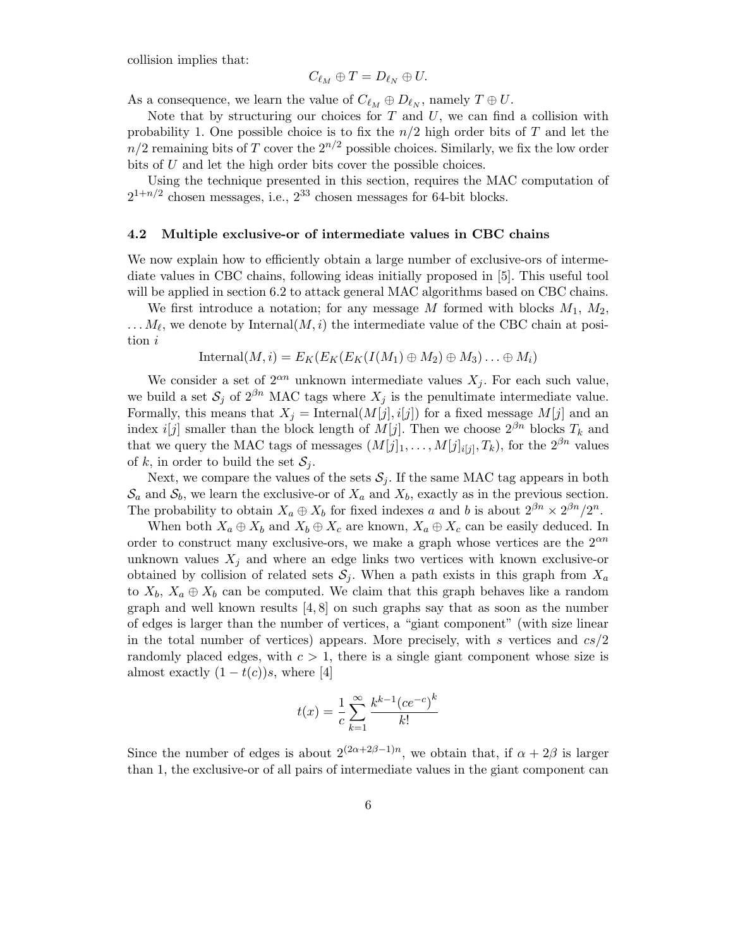collision implies that:

$$
C_{\ell_M}\oplus T=D_{\ell_N}\oplus U.
$$

As a consequence, we learn the value of  $C_{\ell_M} \oplus D_{\ell_N}$ , namely  $T \oplus U$ .

Note that by structuring our choices for  $T$  and  $U$ , we can find a collision with probability 1. One possible choice is to fix the  $n/2$  high order bits of T and let the  $n/2$  remaining bits of T cover the  $2^{n/2}$  possible choices. Similarly, we fix the low order bits of U and let the high order bits cover the possible choices.

Using the technique presented in this section, requires the MAC computation of  $2^{1+n/2}$  chosen messages, i.e.,  $2^{33}$  chosen messages for 64-bit blocks.

#### 4.2 Multiple exclusive-or of intermediate values in CBC chains

We now explain how to efficiently obtain a large number of exclusive-ors of intermediate values in CBC chains, following ideas initially proposed in [5]. This useful tool will be applied in section 6.2 to attack general MAC algorithms based on CBC chains.

We first introduce a notation; for any message M formed with blocks  $M_1$ ,  $M_2$ ,  $\ldots$   $M_{\ell}$ , we denote by Internal $(M,i)$  the intermediate value of the CBC chain at position i

$$
Internal(M, i) = E_K(E_K(E_K(I(M_1) \oplus M_2) \oplus M_3) \dots \oplus M_i)
$$

We consider a set of  $2^{\alpha n}$  unknown intermediate values  $X_j$ . For each such value, we build a set  $S_j$  of  $2^{\beta n}$  MAC tags where  $X_j$  is the penultimate intermediate value. Formally, this means that  $X_j = \text{Internal}(M[j], i[j])$  for a fixed message  $M[j]$  and an index *i*[*j*] smaller than the block length of  $M[j]$ . Then we choose  $2^{\beta n}$  blocks  $T_k$  and that we query the MAC tags of messages  $(M[j]_1, \ldots, M[j]_{i[j]}, T_k)$ , for the  $2^{\beta n}$  values of k, in order to build the set  $S_i$ .

Next, we compare the values of the sets  $S_i$ . If the same MAC tag appears in both  $\mathcal{S}_a$  and  $\mathcal{S}_b$ , we learn the exclusive-or of  $X_a$  and  $X_b$ , exactly as in the previous section. The probability to obtain  $X_a \oplus X_b$  for fixed indexes a and b is about  $2^{\beta n} \times 2^{\beta n} / 2^n$ .

When both  $X_a \oplus X_b$  and  $X_b \oplus X_c$  are known,  $X_a \oplus X_c$  can be easily deduced. In order to construct many exclusive-ors, we make a graph whose vertices are the  $2^{\alpha n}$ unknown values  $X_i$  and where an edge links two vertices with known exclusive-or obtained by collision of related sets  $S_j$ . When a path exists in this graph from  $X_a$ to  $X_b$ ,  $X_a \oplus X_b$  can be computed. We claim that this graph behaves like a random graph and well known results  $[4, 8]$  on such graphs say that as soon as the number of edges is larger than the number of vertices, a "giant component" (with size linear in the total number of vertices) appears. More precisely, with s vertices and  $cs/2$ randomly placed edges, with  $c > 1$ , there is a single giant component whose size is almost exactly  $(1-t(c))s$ , where [4]

$$
t(x) = \frac{1}{c} \sum_{k=1}^{\infty} \frac{k^{k-1} (ce^{-c})^k}{k!}
$$

Since the number of edges is about  $2^{(2\alpha+2\beta-1)n}$ , we obtain that, if  $\alpha+2\beta$  is larger than 1, the exclusive-or of all pairs of intermediate values in the giant component can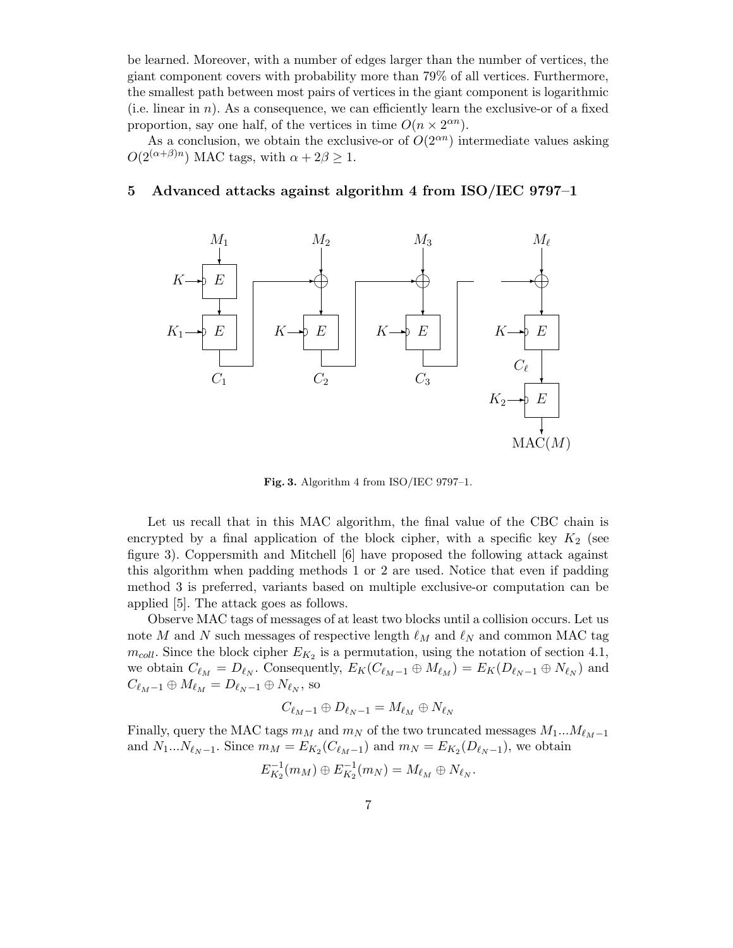be learned. Moreover, with a number of edges larger than the number of vertices, the giant component covers with probability more than 79% of all vertices. Furthermore, the smallest path between most pairs of vertices in the giant component is logarithmic (i.e. linear in n). As a consequence, we can efficiently learn the exclusive-or of a fixed proportion, say one half, of the vertices in time  $O(n \times 2^{\alpha n})$ .

As a conclusion, we obtain the exclusive-or of  $O(2<sup>\alpha n</sup>)$  intermediate values asking  $O(2^{(\alpha+\beta)n})$  MAC tags, with  $\alpha+2\beta\geq 1$ .

### 5 Advanced attacks against algorithm 4 from ISO/IEC 9797–1



Fig. 3. Algorithm 4 from ISO/IEC 9797–1.

Let us recall that in this MAC algorithm, the final value of the CBC chain is encrypted by a final application of the block cipher, with a specific key  $K_2$  (see figure 3). Coppersmith and Mitchell [6] have proposed the following attack against this algorithm when padding methods 1 or 2 are used. Notice that even if padding method 3 is preferred, variants based on multiple exclusive-or computation can be applied [5]. The attack goes as follows.

Observe MAC tags of messages of at least two blocks until a collision occurs. Let us note M and N such messages of respective length  $\ell_M$  and  $\ell_N$  and common MAC tag  $m_{coll}$ . Since the block cipher  $E_{K_2}$  is a permutation, using the notation of section 4.1, we obtain  $C_{\ell_M} = D_{\ell_N}$ . Consequently,  $E_K(C_{\ell_M - 1} \oplus M_{\ell_M}) = E_K(D_{\ell_N - 1} \oplus N_{\ell_N})$  and  $C_{\ell_M - 1} \oplus M_{\ell_M} = D_{\ell_N - 1} \oplus N_{\ell_N},$  so

$$
C_{\ell_M-1}\oplus D_{\ell_N-1}=M_{\ell_M}\oplus N_{\ell_N}
$$

Finally, query the MAC tags  $m_M$  and  $m_N$  of the two truncated messages  $M_1...M_{\ell_M-1}$ and  $N_1...N_{\ell_N-1}$ . Since  $m_M = E_{K_2}(C_{\ell_M-1})$  and  $m_N = E_{K_2}(D_{\ell_N-1})$ , we obtain −1 −1

$$
E_{K_2}^{-1}(m_M) \oplus E_{K_2}^{-1}(m_N) = M_{\ell_M} \oplus N_{\ell_N}.
$$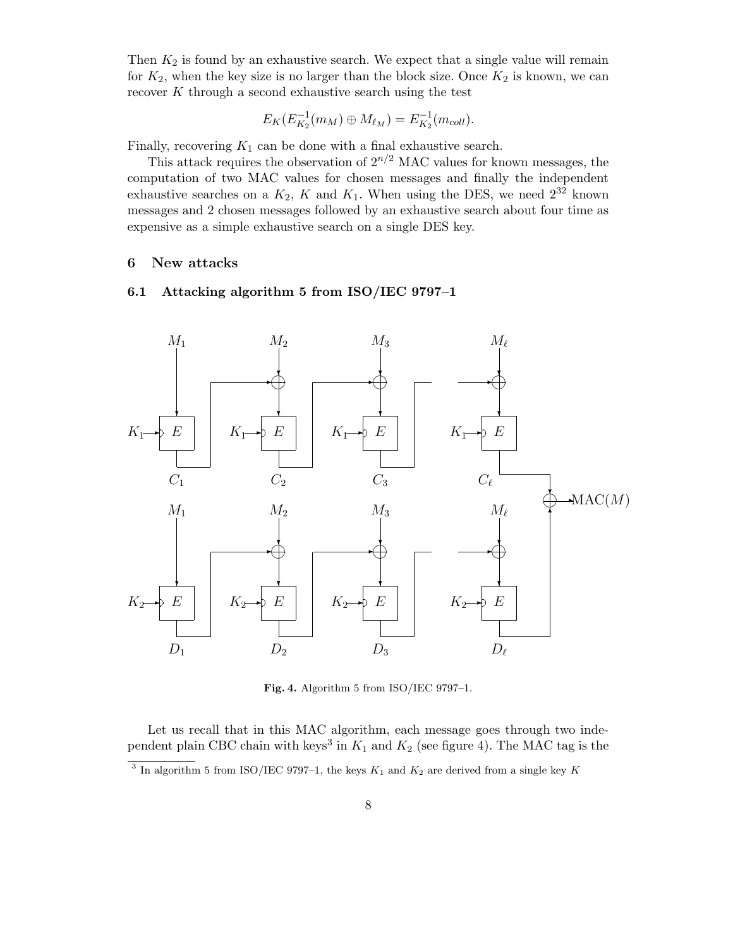Then  $K_2$  is found by an exhaustive search. We expect that a single value will remain for  $K_2$ , when the key size is no larger than the block size. Once  $K_2$  is known, we can recover  $K$  through a second exhaustive search using the test

$$
E_K(E_{K_2}^{-1}(m_M) \oplus M_{\ell_M}) = E_{K_2}^{-1}(m_{coll}).
$$

Finally, recovering  $K_1$  can be done with a final exhaustive search.

This attack requires the observation of  $2^{n/2}$  MAC values for known messages, the computation of two MAC values for chosen messages and finally the independent exhaustive searches on a  $K_2$ , K and  $K_1$ . When using the DES, we need  $2^{32}$  known messages and 2 chosen messages followed by an exhaustive search about four time as expensive as a simple exhaustive search on a single DES key.

## 6 New attacks

### 6.1 Attacking algorithm 5 from ISO/IEC 9797–1



Fig. 4. Algorithm 5 from ISO/IEC 9797–1.

Let us recall that in this MAC algorithm, each message goes through two independent plain CBC chain with keys<sup>3</sup> in  $K_1$  and  $K_2$  (see figure 4). The MAC tag is the

<sup>&</sup>lt;sup>3</sup> In algorithm 5 from ISO/IEC 9797-1, the keys  $K_1$  and  $K_2$  are derived from a single key K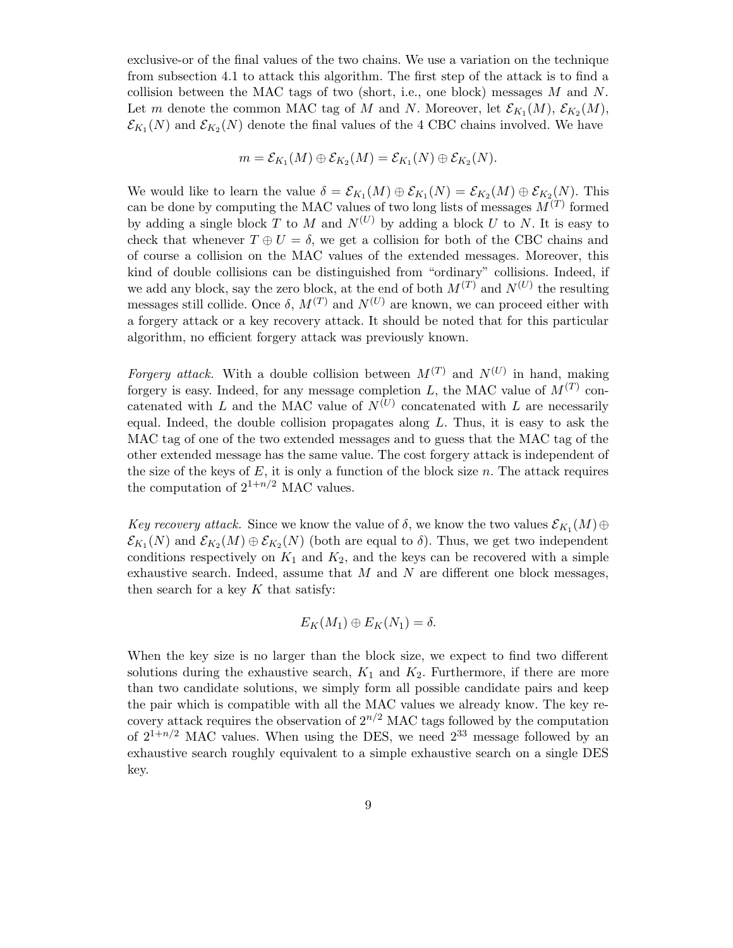exclusive-or of the final values of the two chains. We use a variation on the technique from subsection 4.1 to attack this algorithm. The first step of the attack is to find a collision between the MAC tags of two (short, i.e., one block) messages  $M$  and  $N$ . Let m denote the common MAC tag of M and N. Moreover, let  $\mathcal{E}_{K_1}(M)$ ,  $\mathcal{E}_{K_2}(M)$ ,  $\mathcal{E}_{K_1}(N)$  and  $\mathcal{E}_{K_2}(N)$  denote the final values of the 4 CBC chains involved. We have

$$
m = \mathcal{E}_{K_1}(M) \oplus \mathcal{E}_{K_2}(M) = \mathcal{E}_{K_1}(N) \oplus \mathcal{E}_{K_2}(N).
$$

We would like to learn the value  $\delta = \mathcal{E}_{K_1}(M) \oplus \mathcal{E}_{K_1}(N) = \mathcal{E}_{K_2}(M) \oplus \mathcal{E}_{K_2}(N)$ . This can be done by computing the MAC values of two long lists of messages  $M^{(T)}$  formed by adding a single block T to M and  $N^{(U)}$  by adding a block U to N. It is easy to check that whenever  $T \oplus U = \delta$ , we get a collision for both of the CBC chains and of course a collision on the MAC values of the extended messages. Moreover, this kind of double collisions can be distinguished from "ordinary" collisions. Indeed, if we add any block, say the zero block, at the end of both  $M^{(T)}$  and  $N^{(U)}$  the resulting messages still collide. Once  $\delta$ ,  $M^{(T)}$  and  $N^{(U)}$  are known, we can proceed either with a forgery attack or a key recovery attack. It should be noted that for this particular algorithm, no efficient forgery attack was previously known.

Forgery attack. With a double collision between  $M^{(T)}$  and  $N^{(U)}$  in hand, making forgery is easy. Indeed, for any message completion L, the MAC value of  $M^{(T)}$  concatenated with L and the MAC value of  $N^{(U)}$  concatenated with L are necessarily equal. Indeed, the double collision propagates along  $L$ . Thus, it is easy to ask the MAC tag of one of the two extended messages and to guess that the MAC tag of the other extended message has the same value. The cost forgery attack is independent of the size of the keys of  $E$ , it is only a function of the block size  $n$ . The attack requires the computation of  $2^{1+n/2}$  MAC values.

Key recovery attack. Since we know the value of  $\delta$ , we know the two values  $\mathcal{E}_{K_1}(M) \oplus$  $\mathcal{E}_{K_1}(N)$  and  $\mathcal{E}_{K_2}(M) \oplus \mathcal{E}_{K_2}(N)$  (both are equal to  $\delta$ ). Thus, we get two independent conditions respectively on  $K_1$  and  $K_2$ , and the keys can be recovered with a simple exhaustive search. Indeed, assume that  $M$  and  $N$  are different one block messages, then search for a key  $K$  that satisfy:

$$
E_K(M_1)\oplus E_K(N_1)=\delta.
$$

When the key size is no larger than the block size, we expect to find two different solutions during the exhaustive search,  $K_1$  and  $K_2$ . Furthermore, if there are more than two candidate solutions, we simply form all possible candidate pairs and keep the pair which is compatible with all the MAC values we already know. The key recovery attack requires the observation of  $2^{n/2}$  MAC tags followed by the computation of  $2^{1+n/2}$  MAC values. When using the DES, we need  $2^{33}$  message followed by an exhaustive search roughly equivalent to a simple exhaustive search on a single DES key.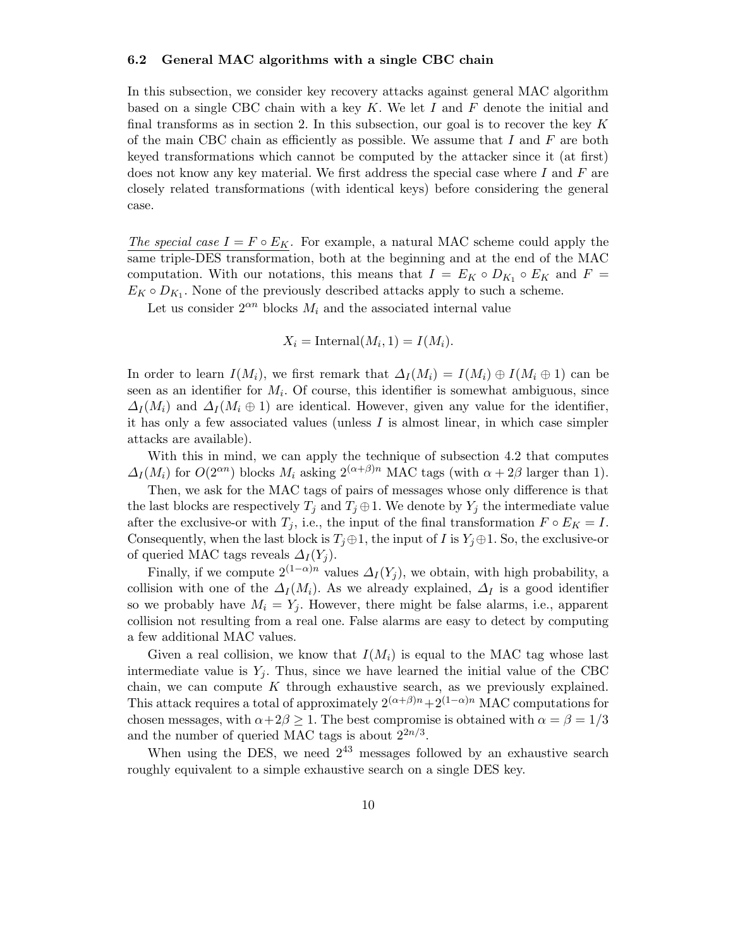#### 6.2 General MAC algorithms with a single CBC chain

In this subsection, we consider key recovery attacks against general MAC algorithm based on a single CBC chain with a key  $K$ . We let  $I$  and  $F$  denote the initial and final transforms as in section 2. In this subsection, our goal is to recover the key  $K$ of the main CBC chain as efficiently as possible. We assume that  $I$  and  $F$  are both keyed transformations which cannot be computed by the attacker since it (at first) does not know any key material. We first address the special case where  $I$  and  $F$  are closely related transformations (with identical keys) before considering the general case.

The special case  $I = F \circ E_K$ . For example, a natural MAC scheme could apply the same triple-DES transformation, both at the beginning and at the end of the MAC computation. With our notations, this means that  $I = E_K \circ D_{K_1} \circ E_K$  and  $F =$  $E_K \circ D_{K_1}$ . None of the previously described attacks apply to such a scheme.

Let us consider  $2^{\alpha n}$  blocks  $M_i$  and the associated internal value

$$
X_i = \text{Internal}(M_i, 1) = I(M_i).
$$

In order to learn  $I(M_i)$ , we first remark that  $\Delta_I(M_i) = I(M_i) \oplus I(M_i \oplus 1)$  can be seen as an identifier for  $M_i$ . Of course, this identifier is somewhat ambiguous, since  $\Delta_I(M_i)$  and  $\Delta_I(M_i \oplus 1)$  are identical. However, given any value for the identifier, it has only a few associated values (unless I is almost linear, in which case simpler attacks are available).

With this in mind, we can apply the technique of subsection 4.2 that computes  $\Delta_I(M_i)$  for  $O(2^{\alpha n})$  blocks  $M_i$  asking  $2^{(\alpha+\beta)n}$  MAC tags (with  $\alpha+2\beta$  larger than 1).

Then, we ask for the MAC tags of pairs of messages whose only difference is that the last blocks are respectively  $T_j$  and  $T_j \oplus 1$ . We denote by  $Y_j$  the intermediate value after the exclusive-or with  $T_j$ , i.e., the input of the final transformation  $F \circ E_K = I$ . Consequently, when the last block is  $T_j \oplus 1$ , the input of I is  $Y_j \oplus 1$ . So, the exclusive-or of queried MAC tags reveals  $\Delta_I(Y_i)$ .

Finally, if we compute  $2^{(1-\alpha)n}$  values  $\Delta_I(Y_j)$ , we obtain, with high probability, a collision with one of the  $\Delta_I(M_i)$ . As we already explained,  $\Delta_I$  is a good identifier so we probably have  $M_i = Y_j$ . However, there might be false alarms, i.e., apparent collision not resulting from a real one. False alarms are easy to detect by computing a few additional MAC values.

Given a real collision, we know that  $I(M_i)$  is equal to the MAC tag whose last intermediate value is  $Y_i$ . Thus, since we have learned the initial value of the CBC chain, we can compute  $K$  through exhaustive search, as we previously explained. This attack requires a total of approximately  $2^{(\alpha+\beta)n}+2^{(1-\alpha)n}$  MAC computations for chosen messages, with  $\alpha+2\beta\geq 1$ . The best compromise is obtained with  $\alpha=\beta=1/3$ and the number of queried MAC tags is about  $2^{2n/3}$ .

When using the DES, we need  $2^{43}$  messages followed by an exhaustive search roughly equivalent to a simple exhaustive search on a single DES key.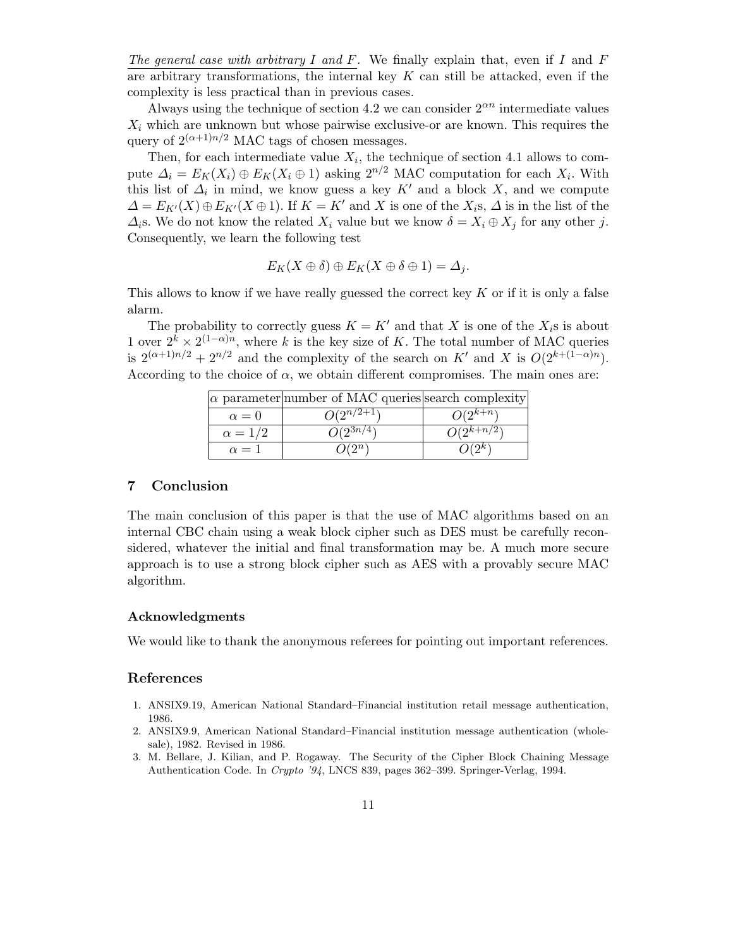The general case with arbitrary I and F. We finally explain that, even if I and F are arbitrary transformations, the internal key  $K$  can still be attacked, even if the complexity is less practical than in previous cases.

Always using the technique of section 4.2 we can consider  $2^{\alpha n}$  intermediate values  $X_i$  which are unknown but whose pairwise exclusive-or are known. This requires the query of  $2^{(\alpha+1)n/2}$  MAC tags of chosen messages.

Then, for each intermediate value  $X_i$ , the technique of section 4.1 allows to compute  $\Delta_i = E_K(X_i) \oplus E_K(X_i \oplus 1)$  asking  $2^{n/2}$  MAC computation for each  $X_i$ . With this list of  $\Delta_i$  in mind, we know guess a key K' and a block X, and we compute  $\Delta = E_{K'}(X) \oplus E_{K'}(X \oplus 1)$ . If  $K = K'$  and X is one of the  $X_i$ s,  $\Delta$  is in the list of the  $\Delta_i$ s. We do not know the related  $X_i$  value but we know  $\delta = X_i \oplus X_j$  for any other j. Consequently, we learn the following test

$$
E_K(X \oplus \delta) \oplus E_K(X \oplus \delta \oplus 1) = \Delta_j.
$$

This allows to know if we have really guessed the correct key  $K$  or if it is only a false alarm.

The probability to correctly guess  $K = K'$  and that X is one of the  $X_i$ s is about 1 over  $2^k \times 2^{(1-\alpha)n}$ , where k is the key size of K. The total number of MAC queries is  $2^{(\alpha+1)n/2} + 2^{n/2}$  and the complexity of the search on K' and X is  $O(2^{k+(1-\alpha)n})$ . According to the choice of  $\alpha$ , we obtain different compromises. The main ones are:

|                | $\alpha$ parameter number of MAC queries search complexity |                |
|----------------|------------------------------------------------------------|----------------|
| $\alpha = 0$   | $O(2^{n/2+\overline{1}})$                                  | $O(2^{k+n})$   |
| $\alpha = 1/2$ | $O(2^{3n/4}$                                               | $O(2^{k+n/2})$ |
| $\alpha = 1$   |                                                            |                |

### 7 Conclusion

The main conclusion of this paper is that the use of MAC algorithms based on an internal CBC chain using a weak block cipher such as DES must be carefully reconsidered, whatever the initial and final transformation may be. A much more secure approach is to use a strong block cipher such as AES with a provably secure MAC algorithm.

#### Acknowledgments

We would like to thank the anonymous referees for pointing out important references.

#### References

- 1. ANSIX9.19, American National Standard–Financial institution retail message authentication, 1986.
- 2. ANSIX9.9, American National Standard–Financial institution message authentication (wholesale), 1982. Revised in 1986.
- 3. M. Bellare, J. Kilian, and P. Rogaway. The Security of the Cipher Block Chaining Message Authentication Code. In Crypto '94, LNCS 839, pages 362–399. Springer-Verlag, 1994.